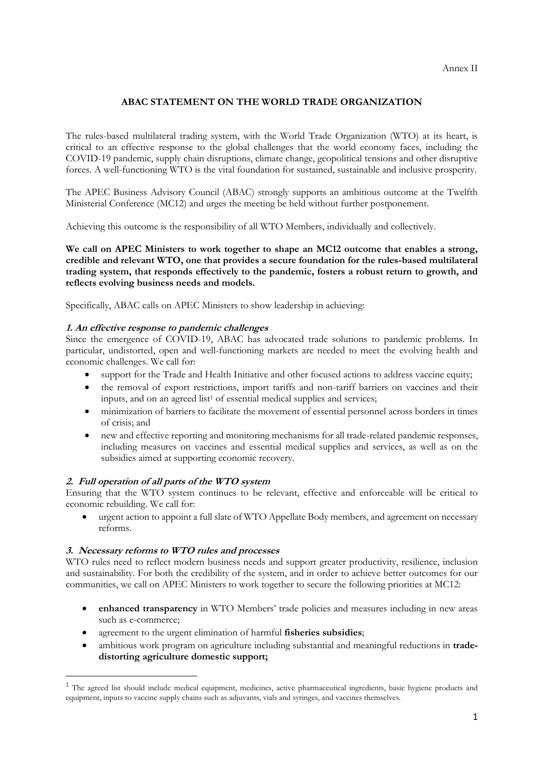## **ABAC STATEMENT ON THE WORLD TRADE ORGANIZATION**

The rules-based multilateral trading system, with the World Trade Organization (WTO) at its heart, is critical to an effective response to the global challenges that the world economy faces, including the COVID-19 pandemic, supply chain disruptions, climate change, geopolitical tensions and other disruptive forces. A well-functioning WTO is the vital foundation for sustained, sustainable and inclusive prosperity.

The APEC Business Advisory Council (ABAC) strongly supports an ambitious outcome at the Twelfth Ministerial Conference (MC12) and urges the meeting be held without further postponement.

Achieving this outcome is the responsibility of all WTO Members, individually and collectively.

**We call on APEC Ministers to work together to shape an MC12 outcome that enables a strong, credible and relevant WTO, one that provides a secure foundation for the rules-based multilateral trading system, that responds effectively to the pandemic, fosters a robust return to growth, and reflects evolving business needs and models.**

Specifically, ABAC calls on APEC Ministers to show leadership in achieving:

## **1. An effective response to pandemic challenges**

Since the emergence of COVID-19, ABAC has advocated trade solutions to pandemic problems. In particular, undistorted, open and well-functioning markets are needed to meet the evolving health and economic challenges. We call for:

- support for the Trade and Health Initiative and other focused actions to address vaccine equity;
- the removal of export restrictions, import tariffs and non-tariff barriers on vaccines and their inputs, and on an agreed list<sup>1</sup> of essential medical supplies and services;
- minimization of barriers to facilitate the movement of essential personnel across borders in times of crisis; and
- new and effective reporting and monitoring mechanisms for all trade-related pandemic responses, including measures on vaccines and essential medical supplies and services, as well as on the subsidies aimed at supporting economic recovery.

## **2. Full operation of all parts of the WTO system**

Ensuring that the WTO system continues to be relevant, effective and enforceable will be critical to economic rebuilding. We call for:

• urgent action to appoint a full slate of WTO Appellate Body members, and agreement on necessary reforms.

## **3. Necessary reforms to WTO rules and processes**

WTO rules need to reflect modern business needs and support greater productivity, resilience, inclusion and sustainability. For both the credibility of the system, and in order to achieve better outcomes for our communities, we call on APEC Ministers to work together to secure the following priorities at MC12:

- **enhanced transparency** in WTO Members' trade policies and measures including in new areas such as e-commerce;
- agreement to the urgent elimination of harmful **fisheries subsidies**;
- ambitious work program on agriculture including substantial and meaningful reductions in **tradedistorting agriculture domestic support;**

<sup>&</sup>lt;sup>1</sup> The agreed list should include medical equipment, medicines, active pharmaceutical ingredients, basic hygiene products and equipment, inputs to vaccine supply chains such as adjuvants, vials and syringes, and vaccines themselves.